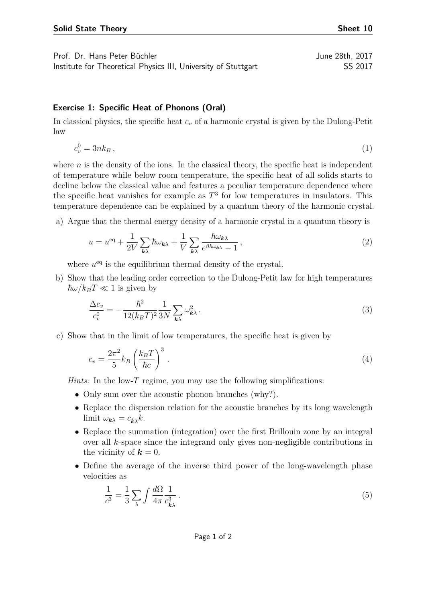Institute for Theoretical Physics III, University of Stuttgart SS 2017

## **Exercise 1: Specific Heat of Phonons (Oral)**

In classical physics, the specific heat *c<sup>v</sup>* of a harmonic crystal is given by the Dulong-Petit law

$$
c_v^0 = 3nk_B , \t\t(1)
$$

where  $n$  is the density of the ions. In the classical theory, the specific heat is independent of temperature while below room temperature, the specific heat of all solids starts to decline below the classical value and features a peculiar temperature dependence where the specific heat vanishes for example as  $T<sup>3</sup>$  for low temperatures in insulators. This temperature dependence can be explained by a quantum theory of the harmonic crystal.

a) Argue that the thermal energy density of a harmonic crystal in a quantum theory is

$$
u = u^{\text{eq}} + \frac{1}{2V} \sum_{\mathbf{k}\lambda} \hbar \omega_{\mathbf{k}\lambda} + \frac{1}{V} \sum_{\mathbf{k}\lambda} \frac{\hbar \omega_{\mathbf{k}\lambda}}{e^{\beta \hbar \omega_{\mathbf{k}\lambda}} - 1},\tag{2}
$$

where  $u<sup>eq</sup>$  is the equilibrium thermal density of the crystal.

b) Show that the leading order correction to the Dulong-Petit law for high temperatures  $\hbar\omega/k_BT \ll 1$  is given by

$$
\frac{\Delta c_v}{c_v^0} = -\frac{\hbar^2}{12(k_B T)^2} \frac{1}{3N} \sum_{\mathbf{k}\lambda} \omega_{\mathbf{k}\lambda}^2.
$$
\n(3)

c) Show that in the limit of low temperatures, the specific heat is given by

$$
c_v = \frac{2\pi^2}{5} k_B \left(\frac{k_B T}{\hbar c}\right)^3.
$$
\n<sup>(4)</sup>

*Hints:* In the low-*T* regime, you may use the following simplifications:

- Only sum over the acoustic phonon branches (why?).
- Replace the dispersion relation for the acoustic branches by its long wavelength limit  $\omega_{\mathbf{k}\lambda} = c_{\hat{\mathbf{k}}\lambda} k$ .
- Replace the summation (integration) over the first Brillouin zone by an integral over all *k*-space since the integrand only gives non-negligible contributions in the vicinity of  $\mathbf{k} = 0$ .
- Define the average of the inverse third power of the long-wavelength phase velocities as

$$
\frac{1}{c^3} = \frac{1}{3} \sum_{\lambda} \int \frac{d\Omega}{4\pi} \frac{1}{c_{\hat{k}\lambda}^3} \,. \tag{5}
$$